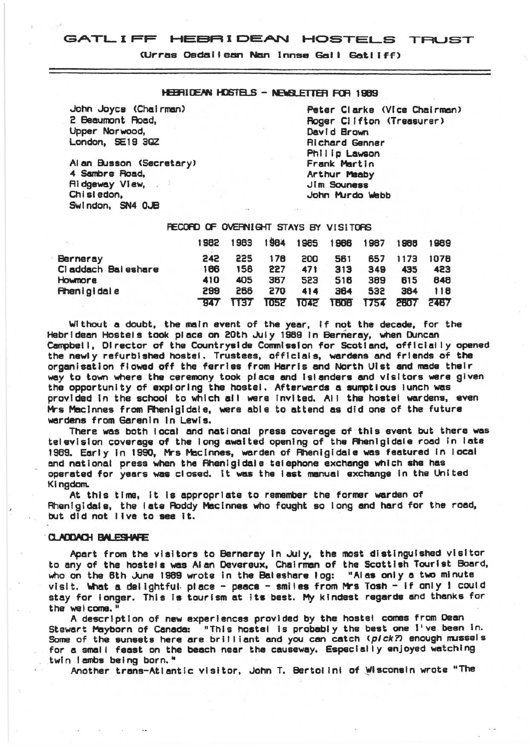(Urras Osdailean Nan Innse Gail Gatliff)

### HEBRIDEAN HOSTELS - NEWSLETTER FOR 1989

John Joyce (Chairman) 2 Beaumont Road, Upper Norwood, London, SE19 30Z

Al an Busson (Secretary) 4 Sambre Road. Ridgeway View, Chi si edon, Swindon, SN4 OJB

Peter Clarke (Vice Chairman) Roger Clifton (Treasurer) David Brown **Richard Genner** Philip Lawson Frank Martin Arthur Meaby Jim Souness John Murdo Webb

# RECORD OF OVERNIGHT STAYS BY VISITORS

| So.                | 1982 | 1983 | 1984 | 1985 | 1986 | 1987 | 1986 | 1989 |
|--------------------|------|------|------|------|------|------|------|------|
| Berneray           | 242  | 225  | 178  | 200  | 561  | 657  | 1173 | 1078 |
| Claddach Baleshare | 186  | 156  | 227  | 471  | 313  | 349  | 435  | 423  |
| Howmore            | 410  | 405  | 367  | 523  | 516  | 389  | 615  | 848  |
| <b>Rhenigidale</b> | 299  | 266  | 270  | 414  | 364  | 532  | 384  | 118  |
|                    | 847  | 1137 | 1052 | 1042 | 1606 | 1754 | 2607 | 2467 |

Without a doubt, the main event of the year, if not the decade, for the Hebridean Hostels took place on 20th July 1989 in Berneray, when Duncan Campbell, Director of the Countryside Commission for Scotiand, officially opened the newly refurbished hostel. Trustees, officials, wardens and friends of the organisation flowed off the ferries from Harris and North Uist and made their way to town where the ceremony took place and islanders and visitors were given the opportunity of exploring the hostel. Afterwards a sumptious lunch was provided in the school to which all were invited. All the hostel wardens, even Mrs Macinnes from Finenigidale, were able to attend as did one of the future wardens from Garenin in Lewis.

There was both (ocal and national press coverage of this event but there was television coverage of the long awaited opening of the Rhenigidale road in late 1989. Early in 1990, Mrs Macinnes, warden of Rhenigidale was featured in local and national press when the Fhenigidale telephone exchange which she has operated for years was closed. It was the last manual exchange in the United Kingdom.

At this time, it is appropriate to remember the former warden of Rhenigidale, the late Roddy Macinnes who fought so long and hard for the road, but did not live to see it.

# CLADDACH BALESHAFE

Apart from the visitors to Berneray in July, the most distinguished visitor to any of the hostels was Alan Devereux, Chairman of the Scottish Tourist Board, who on the 8th June 1989 wrote in the Baleshare log: "Alas only a two minute visit. What a delightful place - peace - smiles from Mrs Tosh - if only I could stay for longer. This is tourism at its best. My kindest regards and thanks for the welcome."

A description of new experiences provided by the hostel comes from Dean Stewart Mayborn of Canada: "This hostel is probably the best one l've been in. Some of the sunsets here are brilliant and you can catch (pick?) enough mussels for a small feast on the beach near the causeway. Especially enjoyed watching twin lambs being born."

Another trans-Atlantic visitor, John T. Bertolini of Wisconsin wrote "The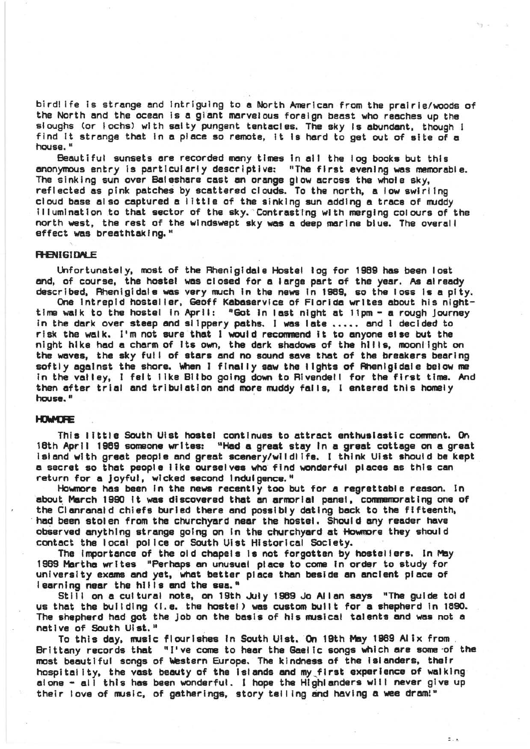birdl Ife Is strange and Intriguing to a North American from the prairie/woods of the North and the ocean is a giant marvelous foreign beast who reaches up the sloughs (or lochs) with salty pungent tentacles. The sky Is abundant. though I find It strange that In a place so remote, It Is hard to get out of site of a house."

Beautiful sunsets are recorded many times in all the log books but this anonymous entry is particularly descriptive: "The first evening was memorable. The sinking sun over Baleshare cast an orange glow across the whole sky, reflected as pink patches by scattered clouds. To the north, a low swirling cloud base also captured a little of the sinking sun adding a trace of muddy illumination to that sector of the sky. Contrasting with merging colours of the north west, the rest of the windswept sky was a deep marine blue. The overall effect was breathtaking."

#### **RENIGIDALE**

Unfortunately. most of the Rhenigidale Hostel log for 1989 has been lost and, of course. the hostel was closed for a largs part of the year. As already described. Rhenigidale was very much In the news tn 1969. so the loss Is a pity.

One Intrepid hosteller. Geoff Kabaservlce of Florida writes about his nighttime walk to the hostel In April: "Got In last night at l1pm - a rough Journey In the dark over steep and slippery paths. I was late ..... and I decided to risk the walk. I'm not sure that I would recommend it to anyone else but the night hike had a charm of its own, the dark shadows of the hills, moonlight on the waves, the sky full of stars and no sound save that of the breakers bearing softly against the shore. When I finally saw the lights of Rhenlgldale below me in the valley, I felt like Bilbo going down to Rlvendell for the first time. And then after trial and tribulation and more muddy falls, I entered this homely house."

#### **HOWADFE**

This I ittle South Ulst hostel continues to attract enthusiastic comment. On 18th April 1989 someone writes: "Had a great stay In a great cottage on a great Island with great people and great scenery/wildlife. I think Uist should be kept . a secret so that people like ourselves who find wonderful places as this can return for a joyful, wicked second induigence."

Howmore has been In the news recently too but for a regrettable reason. In about March 1990 it was discovered that an armorial panel, commemorating one of the Clanranaid chiefs buried there and possibly dating back to the fifteenth, had been stolen from the churchyard near the hostel. Should any reader have observed anything strange goIng on In the churchyard at Howmore they should contact the local police or South Uist Historical SOCiety.

The Importance of the old chapels Is not forgotten by hostellers. In May 1969 Martha writes "Perhaps an unusual place to come in order to study for university exams and yet, what better place than beside an ancient place of learning near the hills and the sea."

Still on a cultural note, on 19th July 1969 Jo Allan says "The guide toid us that the building (i.e. the hoste!) was custom built for a shepherd in 1890. The shepherd had got the job on the basis of his musical talents and was not a native of South Uist."<br>To this day, music flourishes in South Uist. On 19th May 1989 Alix from

Brittany records that "I've come to hear the Gaelic songs which are some of the most beautiful songs of Western Europe. The kindness of the Islanders, their hospitality, the vast beauty of the islands and my first experience of walking alone - all this has been wonderful. I hope the Highlanders will never give up their love of music, of gatherings, story telling and having a wee dram!"

 $\frac{1}{2}$  .  $\frac{1}{2}$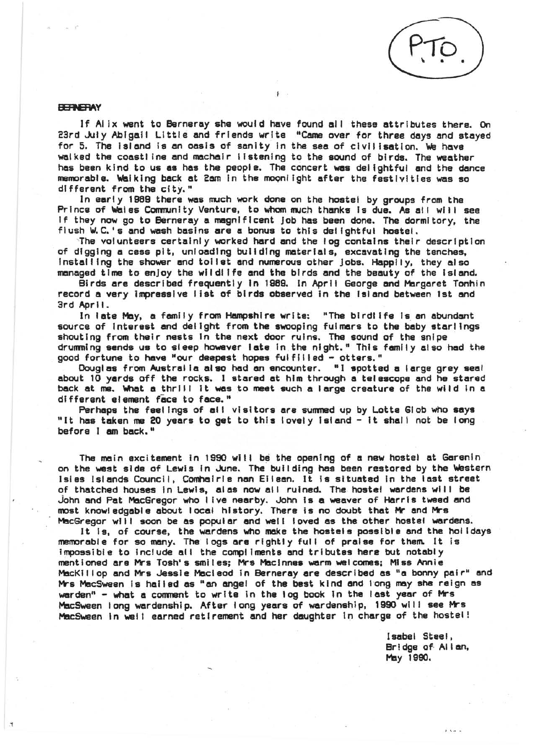

## **BEFNERAY**

. "'?

If Alix went to Berneray she would have found all these attributes there. On 23rd July Abigail Little and friends write "Came over for three days and stayed for 5. The island Is an oasis of sanity In the sea of civilisation. we have walked the coastl ine and machalr listening to the sound of birds. The weather has been kind to us as has the people. The concert was delightful and the dance memorable. Waiking back at 2am in the moonlight after the festivities was so different from the city."

 $\ddagger$ 

In early 1989 there wes much work done on the hostel by groups from the Prince of Wales Community Venture, to whom much thanks is due. As all will see If they now go to Berneray a magnificent job has been done. The dormitory, the<br>flush W.C.'s and wash basins are a bonus to this delightful hostel.

The volunteers certainly worked hard and the log contains their description of digging a cess pit, unloading building materials, excavating the tenches, Installing the shower and toilet and numerous other jobs. Happily, they also managed time to enjoy the wildlife and the birds and the beauty of the island.

Birds are described frequently in 1969. In April George and Margaret Tonhin record a very impressive list of birds observed in the Island between 1st and 3rd April.

In late May, a family from Hampshire write: "The birdlife Is an abundant source of Interest and delight from the swooping fulmers to the baby starlings shouting from their nests In the next door ruins. The sound of the snipe drumning sends us to sleep however late in the night." This family also had the good fortune to have "our deepest hopes fulfilled - otters."

Douglas from Australia elso had an encounter. ") spotted a large grey seal ebout 10 yards off the rocks. I stared at him through a telescope and he stared back at me. What a thrill it was to meet such a large creature of the wild in a di fferent el amant face to face."

Perhaps the feelings of ell visitors are summed up by Lotte Glob who says "It has taken me 20 years to get to this lovely Istand - It shall not be long before I am back."

The main excitement in 1990 will be the opening of a new hostel at Garenin on the west side of Lewis in June. The building has been restored by the Western Isles Islands Council, Comhairle nan Ellean. It is situated In the last street of thatched houses in Lewis, alas now all ruined. The hostefwardens will be John and Pat MacGrsgor who I ive nearby. John Is a weaver of Harris tweed and most knowledgable about loca' history. There is no doubt that Mr and Mrs MacGregor wIll soon be as popular and well loved as the other hostel wardens.

It is, of course, the wardens who make the hostels possible and the holidays memorable for so many. The logs are rightly full of praise for them. It is impossible to Include all the compliments and tributes here but notably mentioned are Mrs Tosh's smiles; Mrs Macinnes warm welcomesi Miss Annie MacKillop and Mrs Jessie Macieod in Berneray are described as "a bonny pair" and Mrs MacSween is hailed as "an angel of the best kind and long may she reign as warden" - what a conment to write in the log book In the last year of Mrs MacSween long wardenship. After long years of wardenship, 1990 will see Mrs MacSween in weit earned retirement and her daughter in charge of the hostel!

> 1 sabel Steel, Br I dge of· AI I an, May 1990.

> > $1.54.4$